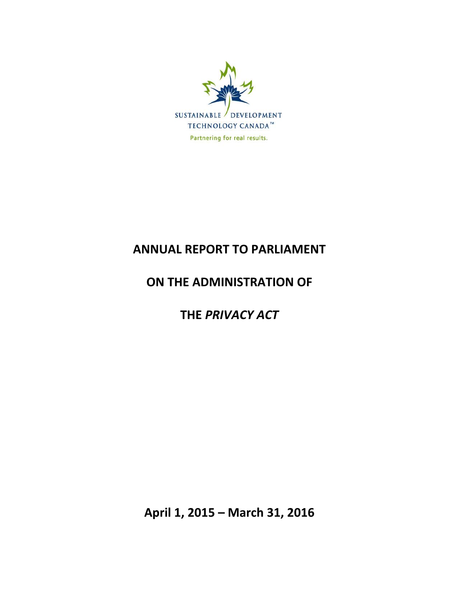

## **ANNUAL REPORT TO PARLIAMENT**

# **ON THE ADMINISTRATION OF**

**THE** *PRIVACY ACT*

**April 1, 2015 – March 31, 2016**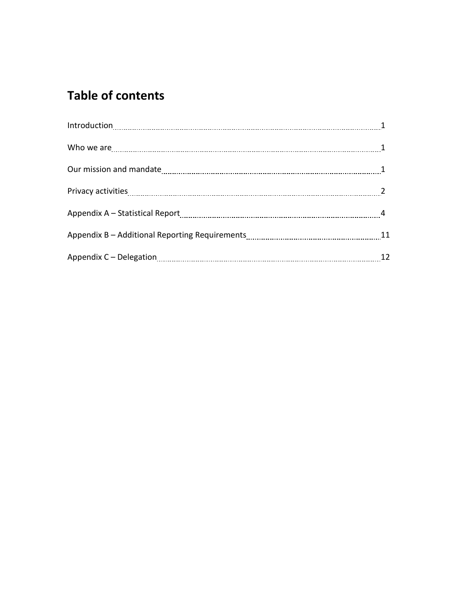# **Table of contents**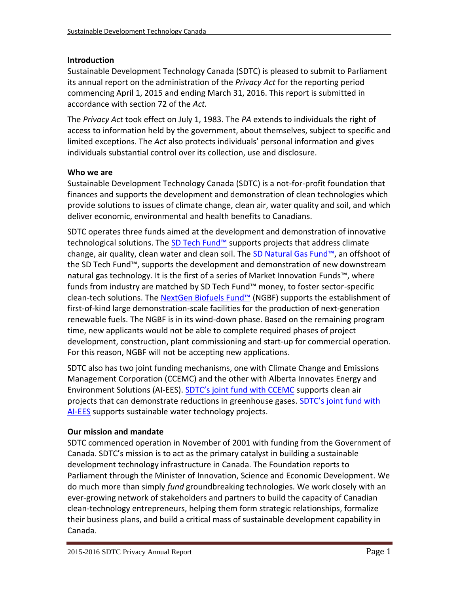## **Introduction**

Sustainable Development Technology Canada (SDTC) is pleased to submit to Parliament its annual report on the administration of the *Privacy Act* for the reporting period commencing April 1, 2015 and ending March 31, 2016. This report is submitted in accordance with section 72 of the *Act.*

The *Privacy Act* took effect on July 1, 1983. The *PA* extends to individuals the right of access to information held by the government, about themselves, subject to specific and limited exceptions. The *Act* also protects individuals' personal information and gives individuals substantial control over its collection, use and disclosure.

## **Who we are**

Sustainable Development Technology Canada (SDTC) is a not-for-profit foundation that finances and supports the development and demonstration of clean technologies which provide solutions to issues of climate change, clean air, water quality and soil, and which deliver economic, environmental and health benefits to Canadians.

SDTC operates three funds aimed at the development and demonstration of innovative technological solutions. The [SD Tech Fund™](https://www.sdtc.ca/en/apply/sd-tech-fund) supports projects that address climate change, air quality, clean water and clean soil. The [SD Natural Gas Fund™](https://www.sdtc.ca/en/apply/sd-natural-gas-fund), an offshoot of the SD Tech Fund™, supports the development and demonstration of new downstream natural gas technology. It is the first of a series of Market Innovation Funds™, where funds from industry are matched by SD Tech Fund™ money, to foster sector-specific clean-tech solutions. The [NextGen Biofuels Fund™](https://www.sdtc.ca/en/funding/funds/nextgen) (NGBF) supports the establishment of first-of-kind large demonstration-scale facilities for the production of next-generation renewable fuels. The NGBF is in its wind-down phase. Based on the remaining program time, new applicants would not be able to complete required phases of project development, construction, plant commissioning and start-up for commercial operation. For this reason, NGBF will not be accepting new applications.

SDTC also has two joint funding mechanisms, one with Climate Change and Emissions Management Corporation (CCEMC) and the other with Alberta Innovates Energy and Environment Solutions (AI-EES). [SDTC's joint fund with CCEMC](https://www.sdtc.ca/en/apply/sdtc-joint-fund-ccemc) supports clean air projects that can demonstrate reductions in greenhouse gases. [SDTC's joint fund with](https://www.sdtc.ca/en/apply/sdtc-joint-fund-ai-ees)  [AI-EES](https://www.sdtc.ca/en/apply/sdtc-joint-fund-ai-ees) supports sustainable water technology projects.

## **Our mission and mandate**

SDTC commenced operation in November of 2001 with funding from the Government of Canada. SDTC's mission is to act as the primary catalyst in building a sustainable development technology infrastructure in Canada. The Foundation reports to Parliament through the Minister of Innovation, Science and Economic Development. We do much more than simply *fund* groundbreaking technologies. We work closely with an ever-growing network of stakeholders and partners to build the capacity of Canadian clean-technology entrepreneurs, helping them form strategic relationships, formalize their business plans, and build a critical mass of sustainable development capability in Canada.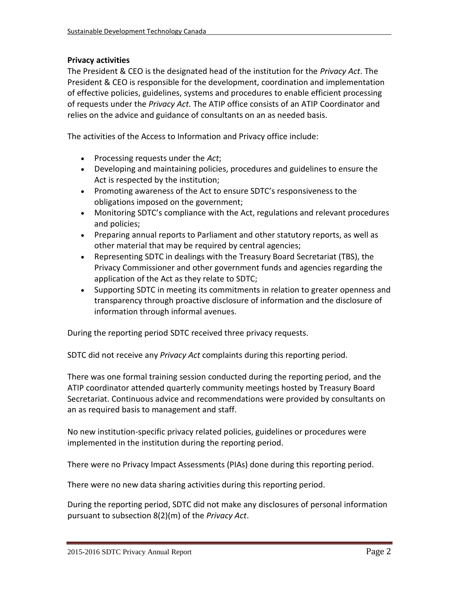## **Privacy activities**

The President & CEO is the designated head of the institution for the *Privacy Act*. The President & CEO is responsible for the development, coordination and implementation of effective policies, guidelines, systems and procedures to enable efficient processing of requests under the *Privacy Act.* The ATIP office consists of an ATIP Coordinator and relies on the advice and guidance of consultants on an as needed basis.

The activities of the Access to Information and Privacy office include:

- Processing requests under the *Act*;
- Developing and maintaining policies, procedures and guidelines to ensure the Act is respected by the institution;
- Promoting awareness of the Act to ensure SDTC's responsiveness to the obligations imposed on the government;
- Monitoring SDTC's compliance with the Act, regulations and relevant procedures and policies;
- Preparing annual reports to Parliament and other statutory reports, as well as other material that may be required by central agencies;
- Representing SDTC in dealings with the Treasury Board Secretariat (TBS), the Privacy Commissioner and other government funds and agencies regarding the application of the Act as they relate to SDTC;
- Supporting SDTC in meeting its commitments in relation to greater openness and transparency through proactive disclosure of information and the disclosure of information through informal avenues.

During the reporting period SDTC received three privacy requests.

SDTC did not receive any *Privacy Act* complaints during this reporting period.

There was one formal training session conducted during the reporting period, and the ATIP coordinator attended quarterly community meetings hosted by Treasury Board Secretariat. Continuous advice and recommendations were provided by consultants on an as required basis to management and staff.

No new institution-specific privacy related policies, guidelines or procedures were implemented in the institution during the reporting period.

There were no Privacy Impact Assessments (PIAs) done during this reporting period.

There were no new data sharing activities during this reporting period.

During the reporting period, SDTC did not make any disclosures of personal information pursuant to subsection 8(2)(m) of the *Privacy Act*.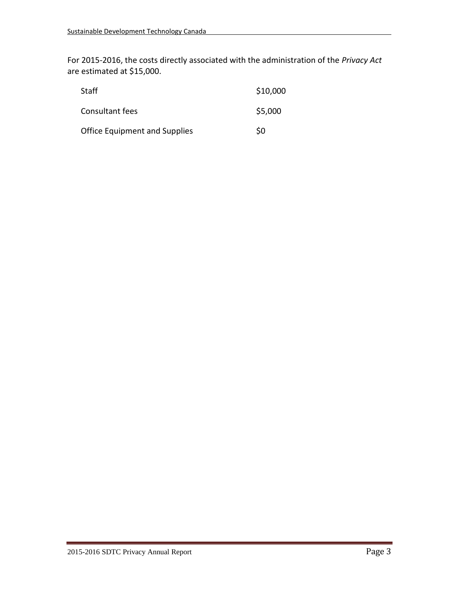For 2015-2016, the costs directly associated with the administration of the *Privacy Act*  are estimated at \$15,000.

| <b>Staff</b>                         | \$10,000 |
|--------------------------------------|----------|
| Consultant fees                      | \$5,000  |
| <b>Office Equipment and Supplies</b> | \$0      |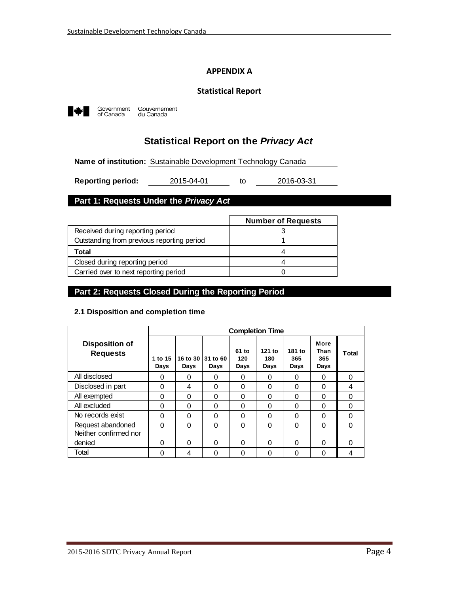#### **APPENDIX A**

#### **Statistical Report**



Government<br>of Canada Gouvernement<br>du Canada

## **Statistical Report on the** *Privacy Act*

**Name of institution:** Sustainable Development Technology Canada

to **Reporting period:** 2015-04-01 to 2016-03-31

## **Part 1: Requests Under the** *Privacy Act*

|                                            | <b>Number of Requests</b> |
|--------------------------------------------|---------------------------|
| Received during reporting period           |                           |
| Outstanding from previous reporting period |                           |
| Total                                      |                           |
| Closed during reporting period             |                           |
| Carried over to next reporting period      |                           |

#### **Part 2: Requests Closed During the Reporting Period**

#### **2.1 Disposition and completion time**

|                                          |                 | <b>Completion Time</b> |                  |                      |                       |                       |                             |              |
|------------------------------------------|-----------------|------------------------|------------------|----------------------|-----------------------|-----------------------|-----------------------------|--------------|
| <b>Disposition of</b><br><b>Requests</b> | 1 to 15<br>Days | 16 to 30<br>Days       | 31 to 60<br>Days | 61 to<br>120<br>Days | 121 to<br>180<br>Days | 181 to<br>365<br>Days | More<br>Than<br>365<br>Days | <b>Total</b> |
| All disclosed                            | 0               | 0                      | 0                | 0                    | 0                     | $\Omega$              | 0                           | 0            |
| Disclosed in part                        | 0               | 4                      | 0                | $\Omega$             | 0                     | $\Omega$              | $\Omega$                    | 4            |
| All exempted                             | 0               | 0                      | 0                | $\Omega$             | 0                     | $\Omega$              | 0                           | $\Omega$     |
| All excluded                             | 0               | 0                      | 0                | $\Omega$             | 0                     | $\Omega$              | $\Omega$                    | $\Omega$     |
| No records exist                         | 0               | 0                      | 0                | $\Omega$             | 0                     | $\Omega$              | 0                           | $\Omega$     |
| Request abandoned                        | $\Omega$        | $\Omega$               | $\Omega$         | $\Omega$             | $\Omega$              | $\Omega$              | $\Omega$                    | $\Omega$     |
| Neither confirmed nor                    |                 |                        |                  |                      |                       |                       |                             |              |
| denied                                   | 0               | 0                      | 0                | $\Omega$             | 0                     | $\Omega$              | 0                           | $\Omega$     |
| Total                                    | 0               | 4                      | ი                | $\Omega$             | 0                     | $\Omega$              | $\Omega$                    | 4            |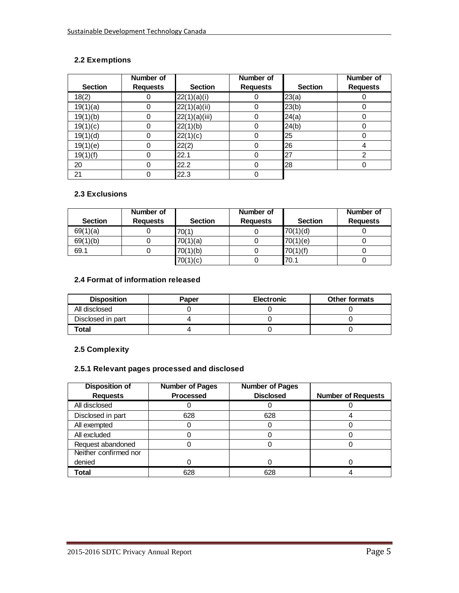## **2.2 Exemptions**

|                | Number of       |                | Number of       |                | Number of       |
|----------------|-----------------|----------------|-----------------|----------------|-----------------|
| <b>Section</b> | <b>Requests</b> | <b>Section</b> | <b>Requests</b> | <b>Section</b> | <b>Requests</b> |
| 18(2)          |                 | 22(1)(a)(i)    | 0               | 23(a)          |                 |
| 19(1)(a)       | 0               | 22(1)(a)(ii)   | 0               | 23(b)          |                 |
| 19(1)(b)       | $\Omega$        | 22(1)(a)(iii)  | 0               | 24(a)          |                 |
| 19(1)(c)       |                 | 22(1)(b)       | 0               | 24(b)          |                 |
| 19(1)(d)       |                 | 22(1)(c)       | 0               | 25             |                 |
| 19(1)(e)       | 0               | 22(2)          | 0               | 26             | 4               |
| 19(1)(f)       | 0               | 22.1           | 0               | 27             | 2               |
| 20             | 0               | 22.2           | 0               | 28             |                 |
| 21             |                 | 22.3           | 0               |                |                 |

#### **2.3 Exclusions**

|                | Number of       |                | Number of       |                | Number of       |
|----------------|-----------------|----------------|-----------------|----------------|-----------------|
| <b>Section</b> | <b>Requests</b> | <b>Section</b> | <b>Requests</b> | <b>Section</b> | <b>Requests</b> |
| 69(1)(a)       |                 | 70(1)          |                 | 70(1)(d)       |                 |
| 69(1)(b)       |                 | 70(1)(a)       |                 | 70(1)(e)       |                 |
| 69.1           |                 | 70(1)(b)       |                 | 70(1)(f)       |                 |
|                |                 | 70(1)(c)       |                 | 70.1           |                 |

#### **2.4 Format of information released**

| <b>Disposition</b> | Paper | <b>Electronic</b> | <b>Other formats</b> |
|--------------------|-------|-------------------|----------------------|
| All disclosed      |       |                   |                      |
| Disclosed in part  |       |                   |                      |
| Total              |       |                   |                      |

#### **2.5 Complexity**

## **2.5.1 Relevant pages processed and disclosed**

| <b>Disposition of</b> | <b>Number of Pages</b> | <b>Number of Pages</b> |                           |
|-----------------------|------------------------|------------------------|---------------------------|
| <b>Requests</b>       | <b>Processed</b>       | <b>Disclosed</b>       | <b>Number of Requests</b> |
| All disclosed         |                        |                        |                           |
| Disclosed in part     | 628                    | 628                    |                           |
| All exempted          |                        |                        |                           |
| All excluded          |                        |                        |                           |
| Request abandoned     |                        |                        |                           |
| Neither confirmed nor |                        |                        |                           |
| denied                |                        |                        |                           |
| <b>Total</b>          | 628                    | 628                    |                           |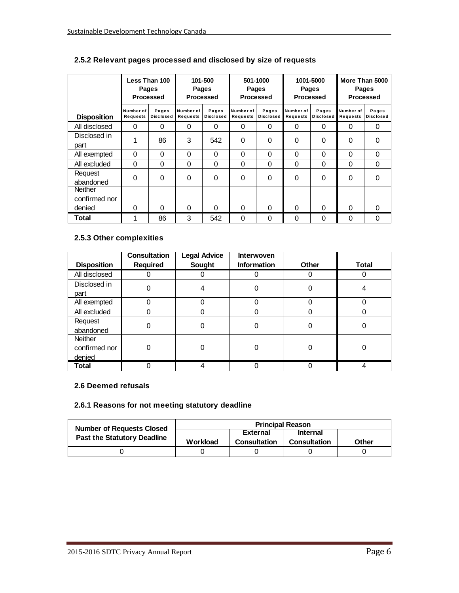|                                    |                              | Less Than 100<br><b>Pages</b><br><b>Processed</b> |                       | 101-500<br><b>Pages</b><br>Processed |                       | 501-1000<br><b>Pages</b><br>Processed |                              | 1001-5000<br><b>Pages</b><br><b>Processed</b> |                       | More Than 5000<br>Pages<br><b>Processed</b> |
|------------------------------------|------------------------------|---------------------------------------------------|-----------------------|--------------------------------------|-----------------------|---------------------------------------|------------------------------|-----------------------------------------------|-----------------------|---------------------------------------------|
| <b>Disposition</b>                 | Number of<br><b>Requests</b> | Pages<br><b>Disclosed</b>                         | Number of<br>Requests | Pages<br><b>Disclosed</b>            | Number of<br>Requests | Pages<br><b>Disclosed</b>             | Number of<br><b>Requests</b> | Pages<br><b>Disclosed</b>                     | Number of<br>Requests | Pages<br><b>Disclosed</b>                   |
| All disclosed                      | 0                            | 0                                                 | 0                     | 0                                    | 0                     | 0                                     | 0                            | 0                                             | 0                     | 0                                           |
| Disclosed in<br>part               |                              | 86                                                | 3                     | 542                                  | 0                     | 0                                     | 0                            | 0                                             | 0                     | 0                                           |
| All exempted                       | $\Omega$                     | 0                                                 | 0                     | 0                                    | 0                     | 0                                     | 0                            | $\Omega$                                      | 0                     | $\Omega$                                    |
| All excluded                       | $\Omega$                     | $\Omega$                                          | 0                     | $\Omega$                             | 0                     | 0                                     | 0                            | 0                                             | 0                     | $\Omega$                                    |
| Request<br>abandoned               | $\Omega$                     | 0                                                 | 0                     | $\Omega$                             | $\Omega$              | $\Omega$                              | $\Omega$                     | $\Omega$                                      | 0                     | $\Omega$                                    |
| Neither<br>confirmed nor<br>denied | $\Omega$                     | 0                                                 | 0                     | 0                                    | $\Omega$              | $\Omega$                              | $\Omega$                     | $\Omega$                                      | $\Omega$              | $\Omega$                                    |
| Total                              | 1                            | 86                                                | 3                     | 542                                  | 0                     | 0                                     | 0                            | $\mathbf{0}$                                  | 0                     | 0                                           |

## **2.5.2 Relevant pages processed and disclosed by size of requests**

#### **2.5.3 Other complexities**

| <b>Disposition</b>                 | <b>Consultation</b><br>Required | <b>Legal Advice</b><br>Sought | <b>Interwoven</b><br><b>Information</b> | Other | <b>Total</b> |
|------------------------------------|---------------------------------|-------------------------------|-----------------------------------------|-------|--------------|
| All disclosed                      | 0                               |                               |                                         | 0     | 0            |
| Disclosed in<br>part               | 0                               |                               |                                         | ი     | 4            |
| All exempted                       | 0                               |                               |                                         | 0     | Ω            |
| All excluded                       | 0                               |                               |                                         | 0     | Ω            |
| Request<br>abandoned               | 0                               |                               |                                         | O     | 0            |
| Neither<br>confirmed nor<br>denied | 0                               |                               |                                         |       | 0            |
| Total                              |                                 |                               |                                         |       |              |

#### **2.6 Deemed refusals**

#### **2.6.1 Reasons for not meeting statutory deadline**

| <b>Number of Requests Closed</b>   | <b>Principal Reason</b> |                     |                 |       |  |  |
|------------------------------------|-------------------------|---------------------|-----------------|-------|--|--|
| <b>Past the Statutory Deadline</b> |                         | <b>External</b>     | <b>Internal</b> |       |  |  |
|                                    | Workload                | <b>Consultation</b> | Consultation    | Other |  |  |
|                                    |                         |                     |                 |       |  |  |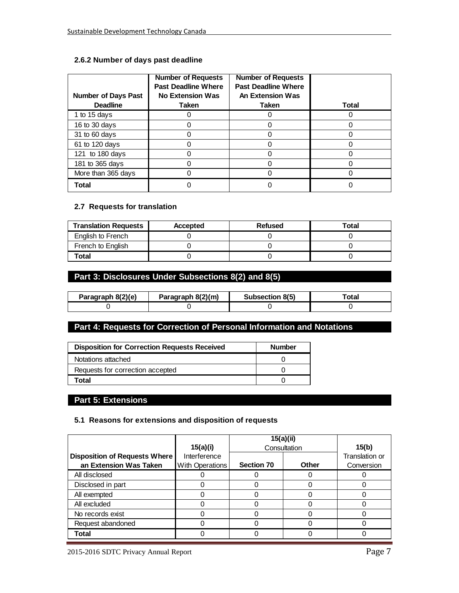#### **2.6.2 Number of days past deadline**

| <b>Number of Days Past</b><br><b>Deadline</b> | <b>Number of Requests</b><br><b>Past Deadline Where</b><br>No Extension Was<br><b>Taken</b> | <b>Number of Requests</b><br><b>Past Deadline Where</b><br><b>An Extension Was</b><br><b>Taken</b> | <b>Total</b> |
|-----------------------------------------------|---------------------------------------------------------------------------------------------|----------------------------------------------------------------------------------------------------|--------------|
| 1 to 15 days                                  |                                                                                             |                                                                                                    |              |
| 16 to 30 days                                 |                                                                                             | 0                                                                                                  |              |
| 31 to 60 days                                 |                                                                                             |                                                                                                    |              |
| 61 to 120 days                                |                                                                                             |                                                                                                    |              |
| 121 to 180 days                               |                                                                                             |                                                                                                    |              |
| 181 to 365 days                               |                                                                                             | Ω                                                                                                  |              |
| More than 365 days                            |                                                                                             |                                                                                                    |              |
| Total                                         |                                                                                             |                                                                                                    |              |

#### **2.7 Requests for translation**

| <b>Translation Requests</b> | <b>Accepted</b> | Refused | Total |
|-----------------------------|-----------------|---------|-------|
| English to French           |                 |         |       |
| French to English           |                 |         |       |
| Total                       |                 |         |       |

## **Part 3: Disclosures Under Subsections 8(2) and 8(5)**

| Paragraph 8(2)(e) | Paragraph 8(2)(m) | Subsection 8(5) |  |
|-------------------|-------------------|-----------------|--|
|                   |                   |                 |  |

## **Part 4: Requests for Correction of Personal Information and Notations**

| <b>Disposition for Correction Requests Received</b> | <b>Number</b> |
|-----------------------------------------------------|---------------|
| Notations attached                                  |               |
| Requests for correction accepted                    |               |
| Total                                               |               |

## **Part 5: Extensions**

#### **5.1 Reasons for extensions and disposition of requests**

|                                                                | 15(a)(i)        | 15(a)(ii)         | Consultation | 15(b)                        |
|----------------------------------------------------------------|-----------------|-------------------|--------------|------------------------------|
| <b>Disposition of Requests Where</b><br>an Extension Was Taken | Interference    | <b>Section 70</b> | Other        | Translation or<br>Conversion |
| All disclosed                                                  | With Operations |                   |              |                              |
| Disclosed in part                                              |                 |                   |              |                              |
| All exempted                                                   |                 |                   |              |                              |
| All excluded                                                   |                 |                   |              |                              |
| No records exist                                               |                 |                   |              |                              |
| Request abandoned                                              |                 |                   |              |                              |
| <b>Total</b>                                                   |                 |                   |              |                              |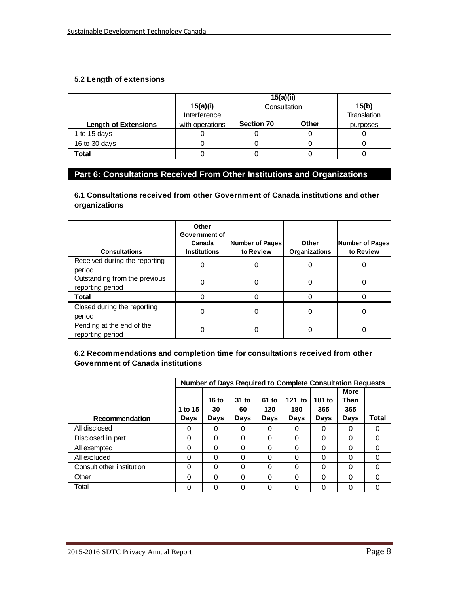#### **5.2 Length of extensions**

|                             | 15(a)(i)        | 15(a)(ii)         | Consultation | 15(b)    |
|-----------------------------|-----------------|-------------------|--------------|----------|
|                             | Interference    |                   | Translation  |          |
| <b>Length of Extensions</b> | with operations | <b>Section 70</b> | <b>Other</b> | purposes |
| 1 to 15 days                |                 |                   |              |          |
| 16 to 30 days               |                 |                   | Ü            |          |
| Total                       |                 |                   |              |          |

## **Part 6: Consultations Received From Other Institutions and Organizations**

**6.1 Consultations received from other Government of Canada institutions and other organizations**

| <b>Consultations</b>                              | Other<br>Government of<br>Canada<br><b>Institutions</b> | Number of Pages<br>to Review | Other<br><b>Organizations</b> | Number of Pages<br>to Review |
|---------------------------------------------------|---------------------------------------------------------|------------------------------|-------------------------------|------------------------------|
| Received during the reporting<br>period           | 0                                                       | ი                            |                               |                              |
| Outstanding from the previous<br>reporting period |                                                         | 0                            | 0                             |                              |
| <b>Total</b>                                      |                                                         |                              |                               |                              |
| Closed during the reporting<br>period             |                                                         | ი                            | 0                             |                              |
| Pending at the end of the<br>reporting period     |                                                         |                              |                               |                              |

**6.2 Recommendations and completion time for consultations received from other Government of Canada institutions**

|                           |          |                  |          |          | Number of Days Required to Complete Consultation Requests |        |             |          |
|---------------------------|----------|------------------|----------|----------|-----------------------------------------------------------|--------|-------------|----------|
|                           |          |                  |          |          |                                                           |        | <b>More</b> |          |
|                           |          | 16 <sub>to</sub> | $31$ to  | 61 to    | 121 to                                                    | 181 to | Than        |          |
|                           | 1 to 15  | 30               | 60       | 120      | 180                                                       | 365    | 365         |          |
| Recommendation            | Days     | Days             | Days     | Days     | Days                                                      | Days   | Days        | Total    |
| All disclosed             | 0        | 0                | 0        | 0        |                                                           | 0      | 0           | 0        |
| Disclosed in part         | 0        | 0                | 0        | 0        | 0                                                         | 0      | $\Omega$    | 0        |
| All exempted              | 0        | 0                | 0        | $\Omega$ | $\Omega$                                                  | 0      | $\Omega$    | $\Omega$ |
| All excluded              | $\Omega$ | 0                | $\Omega$ | $\Omega$ | 0                                                         | 0      | $\Omega$    | $\Omega$ |
| Consult other institution | $\Omega$ | 0                | 0        | $\Omega$ | 0                                                         | 0      | 0           | 0        |
| Other                     | $\Omega$ | 0                | 0        | 0        | 0                                                         | 0      | $\Omega$    | 0        |
| Total                     | $\Omega$ | 0                | $\Omega$ | 0        | 0                                                         | 0      | $\Omega$    | 0        |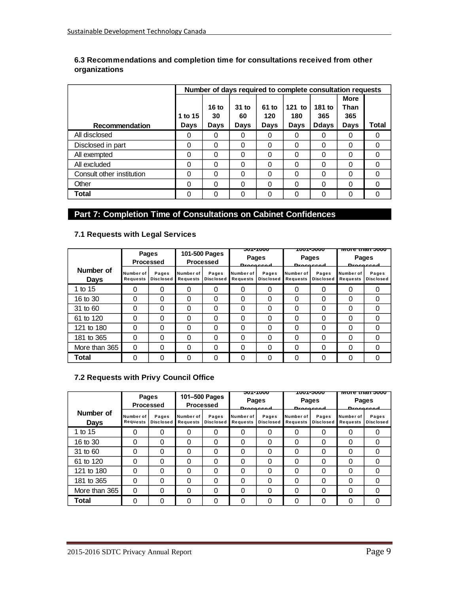| 6.3 Recommendations and completion time for consultations received from other |
|-------------------------------------------------------------------------------|
| organizations                                                                 |
|                                                                               |

|                           | Number of days required to complete consultation requests |                  |             |          |        |              |             |          |
|---------------------------|-----------------------------------------------------------|------------------|-------------|----------|--------|--------------|-------------|----------|
|                           |                                                           |                  |             |          |        |              | <b>More</b> |          |
|                           |                                                           | 16 <sub>to</sub> | $31$ to     | 61 to    | 121 to | 181 to       | Than        |          |
|                           | 1 to 15                                                   | 30               | 60          | 120      | 180    | 365          | 365         |          |
| Recommendation            | Days                                                      | Days             | <b>Days</b> | Days     | Days   | <b>Ddays</b> | Days        | Total    |
| All disclosed             | 0                                                         | 0                | 0           | 0        | 0      | 0            | 0           | 0        |
| Disclosed in part         | 0                                                         | 0                | 0           | 0        | 0      | 0            | $\Omega$    | 0        |
| All exempted              | 0                                                         | 0                | 0           | $\Omega$ | 0      | 0            | 0           | 0        |
| All excluded              | 0                                                         | 0                | 0           | $\Omega$ | 0      | 0            | 0           | 0        |
| Consult other institution | 0                                                         | 0                | 0           | $\Omega$ | 0      | $\Omega$     | 0           | $\Omega$ |
| Other                     | 0                                                         | 0                | 0           | 0        | 0      | 0            | $\Omega$    | $\Omega$ |
| <b>Total</b>              | 0                                                         | 0                | 0           | 0        | 0      | 0            | $\Omega$    | 0        |

## **Part 7: Completion Time of Consultations on Cabinet Confidences**

#### **7.1 Requests with Legal Services**

|                          |                       | Pages<br>Processed | 101-500 Pages<br>Processed |                           | <del>JUI-1000</del><br>Pages<br><b>Droppecod</b> |                           | <del>ww.c.ing.</del><br><b>Pages</b><br><b>Drococcod</b> |                           | <u>MULE THAN JUUU</u><br>Pages<br><b>Drococcod</b> |                           |
|--------------------------|-----------------------|--------------------|----------------------------|---------------------------|--------------------------------------------------|---------------------------|----------------------------------------------------------|---------------------------|----------------------------------------------------|---------------------------|
| Number of<br><b>Days</b> | Number of<br>Requests | Pages<br>Disclosed | Number of<br>Requests      | Pages<br><b>Disclosed</b> | Number of<br>Requests                            | Pages<br><b>Disclosed</b> | Number of<br>Requests                                    | Pages<br><b>Disclosed</b> | Number of<br>Requests                              | Pages<br><b>Disclosed</b> |
| 1 to 15                  | ი                     | 0                  | 0                          | 0                         | 0                                                | 0                         |                                                          |                           | 0                                                  | 0                         |
| 16 to 30                 | 0                     | 0                  | 0                          | 0                         | 0                                                | 0                         |                                                          | 0                         | $\Omega$                                           | 0                         |
| 31 to 60                 | 0                     | 0                  | 0                          | 0                         | 0                                                | 0                         |                                                          | 0                         | 0                                                  | 0                         |
| 61 to 120                | 0                     | $\Omega$           | 0                          | 0                         | 0                                                | 0                         |                                                          | 0                         | $\Omega$                                           | 0                         |
| 121 to 180               | 0                     | 0                  | 0                          | 0                         | 0                                                | 0                         | 0                                                        | 0                         | $\Omega$                                           | 0                         |
| 181 to 365               | 0                     | 0                  | 0                          | 0                         | 0                                                | 0                         | 0                                                        | 0                         | $\Omega$                                           | 0                         |
| More than 365            | 0                     | 0                  | 0                          | 0                         | 0                                                | 0                         |                                                          | U                         | $\Omega$                                           | 0                         |
| Total                    | 0                     | 0                  | 0                          | 0                         | 0                                                | 0                         |                                                          | U                         | 0                                                  | 0                         |

## **7.2 Requests with Privy Council Office**

|                          |                       | Pages<br><b>Processed</b> | 101-500 Pages<br>Processed |                           | <b>טטטו-וטכ</b><br><b>Pages</b><br><b>Droppecod</b> |                           | <b>TUUT-3UUU</b><br>Pages<br><b>Droppecod</b> |                           | <u>More than 5000</u><br>Pages<br><b>Droppecod</b> |                           |
|--------------------------|-----------------------|---------------------------|----------------------------|---------------------------|-----------------------------------------------------|---------------------------|-----------------------------------------------|---------------------------|----------------------------------------------------|---------------------------|
| Number of<br><b>Days</b> | Number of<br>Requests | Pages<br><b>Disclosed</b> | Number of<br>Requests      | Pages<br><b>Disclosed</b> | Number of<br>Requests                               | Pages<br><b>Disclosed</b> | Number of<br>Requests                         | Pages<br><b>Disclosed</b> | Number of<br>Requests                              | Pages<br><b>Disclosed</b> |
| 1 to 15                  | 0                     | 0                         | 0                          | 0                         | 0                                                   | 0                         |                                               | 0                         | 0                                                  | 0                         |
| 16 to 30                 | 0                     | 0                         | 0                          | 0                         | 0                                                   | $\Omega$                  | 0                                             | 0                         | $\Omega$                                           | 0                         |
| 31 to 60                 | 0                     | 0                         | 0                          | 0                         | 0                                                   | 0                         | 0                                             | 0                         | $\Omega$                                           | 0                         |
| 61 to 120                | 0                     | 0                         | 0                          | 0                         | 0                                                   | 0                         | 0                                             | 0                         | $\Omega$                                           | 0                         |
| 121 to 180               | 0                     | 0                         | 0                          | 0                         | 0                                                   | 0                         | 0                                             | 0                         | $\Omega$                                           | 0                         |
| 181 to 365               | 0                     | 0                         | 0                          | 0                         | 0                                                   | 0                         | 0                                             | 0                         | $\Omega$                                           | 0                         |
| More than 365            | $\Omega$              | 0                         | 0                          | 0                         | 0                                                   | 0                         | 0                                             | 0                         | $\Omega$                                           | 0                         |
| Total                    | 0                     | 0                         | 0                          | 0                         | 0                                                   | 0                         |                                               | 0                         | 0                                                  | 0                         |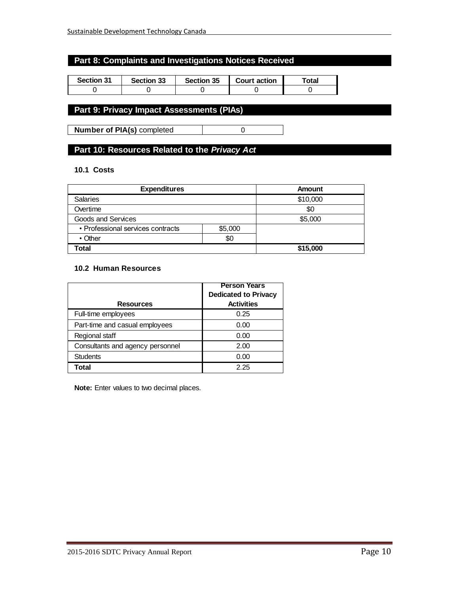## **Part 8: Complaints and Investigations Notices Received**

| <b>Section 31</b> | <b>Section 33</b> | <b>Section 35</b> | <b>Court action</b> | <sup>-</sup> otal |
|-------------------|-------------------|-------------------|---------------------|-------------------|
|                   |                   |                   |                     |                   |

## **Part 9: Privacy Impact Assessments (PIAs)**

**Number of PIA(s)** completed 0

## **Part 10: Resources Related to the** *Privacy Act*

#### **10.1 Costs**

| <b>Expenditures</b>               |         | Amount   |  |
|-----------------------------------|---------|----------|--|
| <b>Salaries</b>                   |         | \$10,000 |  |
| Overtime                          |         | \$0      |  |
| Goods and Services                |         | \$5,000  |  |
| • Professional services contracts | \$5,000 |          |  |
| $\cdot$ Other                     | \$0     |          |  |
| Total                             |         | \$15,000 |  |

#### **10.2 Human Resources**

|                                  | <b>Person Years</b><br><b>Dedicated to Privacy</b> |  |
|----------------------------------|----------------------------------------------------|--|
| <b>Resources</b>                 | <b>Activities</b>                                  |  |
| Full-time employees              | 0.25                                               |  |
| Part-time and casual employees   | 0.00                                               |  |
| Regional staff                   | 0.00                                               |  |
| Consultants and agency personnel | 2.00                                               |  |
| <b>Students</b>                  | 0.00                                               |  |
| Total                            | 2.25                                               |  |

**Note:** Enter values to two decimal places.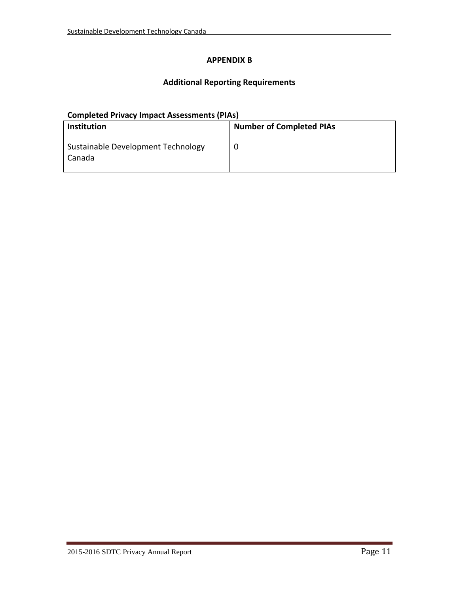## **APPENDIX B**

## **Additional Reporting Requirements**

## **Completed Privacy Impact Assessments (PIAs)**

| <b>Institution</b>                           | <b>Number of Completed PIAs</b> |
|----------------------------------------------|---------------------------------|
| Sustainable Development Technology<br>Canada |                                 |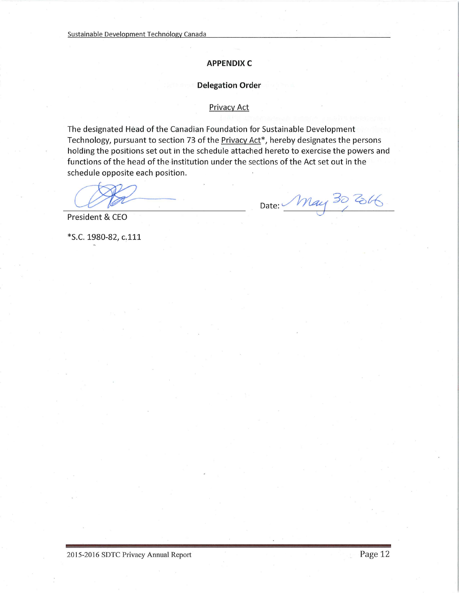#### **APPENDIX C**

#### **Delegation Order**

#### **Privacy Act**

The designated Head of the Canadian Foundation for Sustainable Development Technology, pursuant to section 73 of the Privacy Act<sup>\*</sup>, hereby designates the persons holding the positions set out in the schedule attached hereto to exercise the powers and functions of the head of the institution under the sections of the Act set out in the schedule opposite each position.

Date: May 30 26

President & CEO

\*S.C. 1980-82, c.111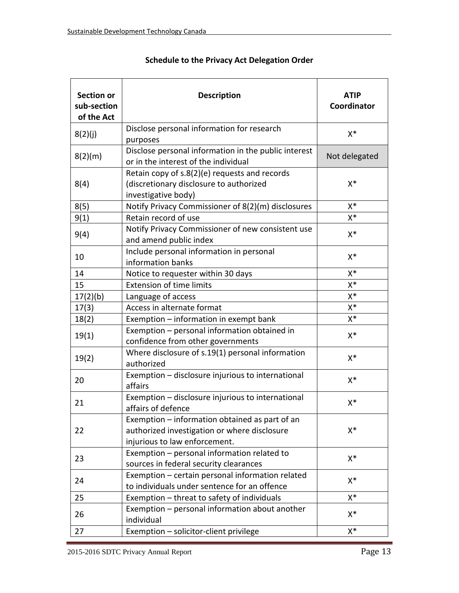| <b>Section or</b><br>sub-section<br>of the Act | <b>Description</b>                                                                                                              | <b>ATIP</b><br>Coordinator |
|------------------------------------------------|---------------------------------------------------------------------------------------------------------------------------------|----------------------------|
| 8(2)(j)                                        | Disclose personal information for research<br>purposes                                                                          | $X^*$                      |
| 8(2)(m)                                        | Disclose personal information in the public interest<br>or in the interest of the individual                                    | Not delegated              |
| 8(4)                                           | Retain copy of s.8(2)(e) requests and records<br>(discretionary disclosure to authorized<br>investigative body)                 | $X^*$                      |
| 8(5)                                           | Notify Privacy Commissioner of 8(2)(m) disclosures                                                                              | $X^*$                      |
| 9(1)                                           | Retain record of use                                                                                                            | $X^*$                      |
| 9(4)                                           | Notify Privacy Commissioner of new consistent use<br>and amend public index                                                     | $X^*$                      |
| 10                                             | Include personal information in personal<br>information banks                                                                   | $X^*$                      |
| 14                                             | Notice to requester within 30 days                                                                                              | $X^*$                      |
| 15                                             | <b>Extension of time limits</b>                                                                                                 | X*                         |
| 17(2)(b)                                       | Language of access                                                                                                              | $X^*$                      |
| 17(3)                                          | Access in alternate format                                                                                                      | X*                         |
| 18(2)                                          | Exemption - information in exempt bank                                                                                          | X*                         |
| 19(1)                                          | Exemption - personal information obtained in<br>confidence from other governments                                               | $X^*$                      |
| 19(2)                                          | Where disclosure of s.19(1) personal information<br>authorized                                                                  | $X^*$                      |
| 20                                             | Exemption - disclosure injurious to international<br>affairs                                                                    | $X^*$                      |
| 21                                             | Exemption - disclosure injurious to international<br>affairs of defence                                                         | $X^*$                      |
| 22                                             | Exemption - information obtained as part of an<br>authorized investigation or where disclosure<br>injurious to law enforcement. | X*                         |
| 23                                             | Exemption - personal information related to<br>sources in federal security clearances                                           | $X^*$                      |
| 24                                             | Exemption - certain personal information related<br>to individuals under sentence for an offence                                | X*                         |
| 25                                             | Exemption - threat to safety of individuals                                                                                     | $X^*$                      |
| 26                                             | Exemption - personal information about another<br>individual                                                                    | X*                         |
| 27                                             | Exemption - solicitor-client privilege                                                                                          | X*                         |

## **Schedule to the Privacy Act Delegation Order**